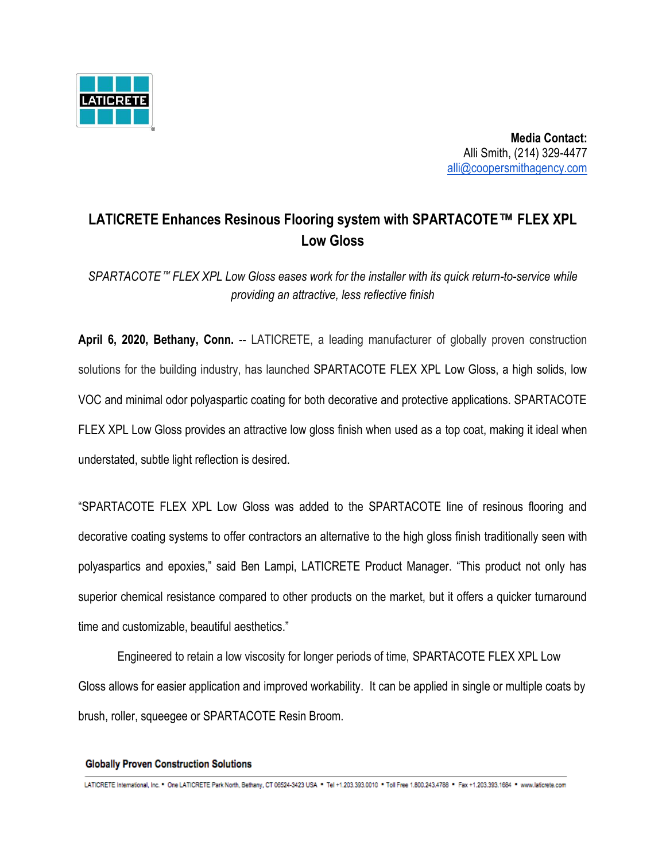

 **Media Contact:** Alli Smith, (214) 329-4477 [alli@coopersmithagency.com](mailto:alli@coopersmithagency.com)

## **LATICRETE Enhances Resinous Flooring system with SPARTACOTE**™ **FLEX XPL Low Gloss**

*SPARTACOTE*™ *FLEX XPL Low Gloss eases work for the installer with its quick return-to-service while providing an attractive, less reflective finish*

**April 6, 2020, Bethany, Conn.** -- LATICRETE, a leading manufacturer of globally proven construction solutions for the building industry, has launched SPARTACOTE FLEX XPL Low Gloss, a high solids, low VOC and minimal odor polyaspartic coating for both decorative and protective applications. SPARTACOTE FLEX XPL Low Gloss provides an attractive low gloss finish when used as a top coat, making it ideal when understated, subtle light reflection is desired.

"SPARTACOTE FLEX XPL Low Gloss was added to the SPARTACOTE line of resinous flooring and decorative coating systems to offer contractors an alternative to the high gloss finish traditionally seen with polyaspartics and epoxies," said Ben Lampi, LATICRETE Product Manager. "This product not only has superior chemical resistance compared to other products on the market, but it offers a quicker turnaround time and customizable, beautiful aesthetics."

Engineered to retain a low viscosity for longer periods of time, SPARTACOTE FLEX XPL Low Gloss allows for easier application and improved workability. It can be applied in single or multiple coats by brush, roller, squeegee or SPARTACOTE Resin Broom.

## **Globally Proven Construction Solutions**

LATICRETE International, Inc. \* One LATICRETE Park North, Bethany, CT 06524-3423 USA \* Tel +1.203.393.0010 \* Toll Free 1.800.243.4788 \* Fax +1.203.393.1684 \* www.laticrete.com